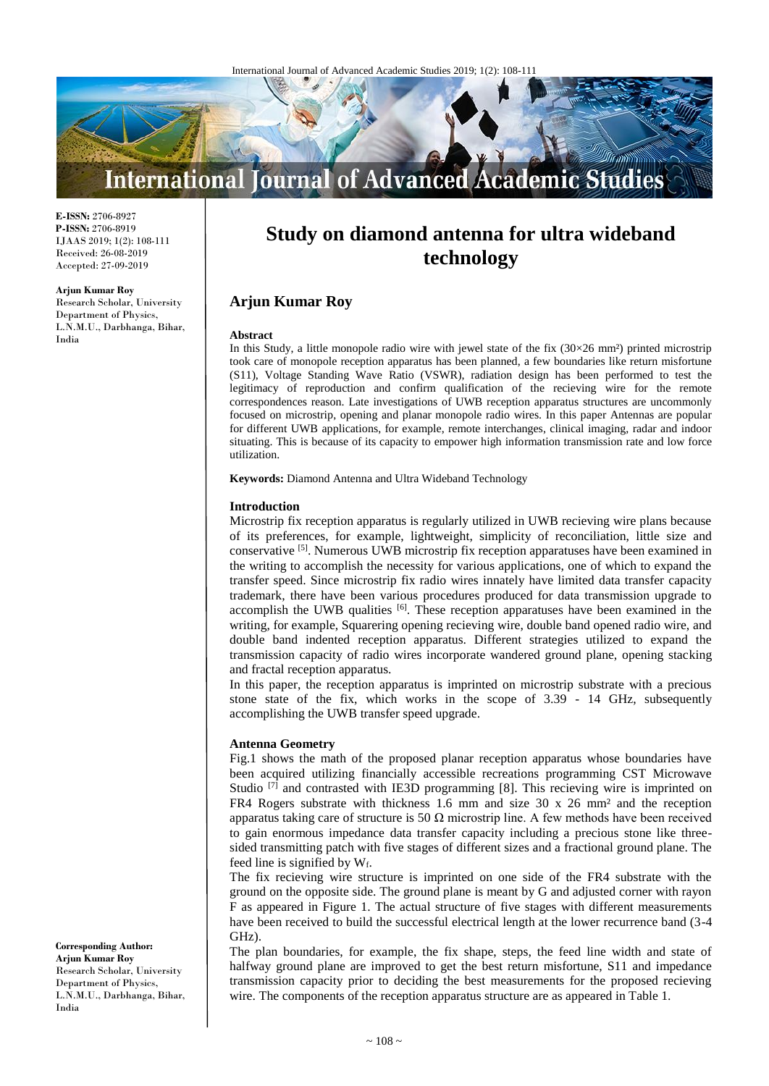

**E-ISSN:** 2706-8927 **P-ISSN:** 2706-8919 IJAAS 2019; 1(2): 108-111 Received: 26-08-2019 Accepted: 27-09-2019

**Arjun Kumar Roy** Research Scholar, University Department of Physics, L.N.M.U., Darbhanga, Bihar, India

# **Study on diamond antenna for ultra wideband technology**

# **Arjun Kumar Roy**

#### **Abstract**

In this Study, a little monopole radio wire with jewel state of the fix  $(30\times26 \text{ mm}^2)$  printed microstrip took care of monopole reception apparatus has been planned, a few boundaries like return misfortune (S11), Voltage Standing Wave Ratio (VSWR), radiation design has been performed to test the legitimacy of reproduction and confirm qualification of the recieving wire for the remote correspondences reason. Late investigations of UWB reception apparatus structures are uncommonly focused on microstrip, opening and planar monopole radio wires. In this paper Antennas are popular for different UWB applications, for example, remote interchanges, clinical imaging, radar and indoor situating. This is because of its capacity to empower high information transmission rate and low force utilization.

**Keywords:** Diamond Antenna and Ultra Wideband Technology

#### **Introduction**

Microstrip fix reception apparatus is regularly utilized in UWB recieving wire plans because of its preferences, for example, lightweight, simplicity of reconciliation, little size and conservative [5]. Numerous UWB microstrip fix reception apparatuses have been examined in the writing to accomplish the necessity for various applications, one of which to expand the transfer speed. Since microstrip fix radio wires innately have limited data transfer capacity trademark, there have been various procedures produced for data transmission upgrade to accomplish the UWB qualities <sup>[6]</sup>. These reception apparatuses have been examined in the writing, for example, Squarering opening recieving wire, double band opened radio wire, and double band indented reception apparatus. Different strategies utilized to expand the transmission capacity of radio wires incorporate wandered ground plane, opening stacking and fractal reception apparatus.

In this paper, the reception apparatus is imprinted on microstrip substrate with a precious stone state of the fix, which works in the scope of 3.39 - 14 GHz, subsequently accomplishing the UWB transfer speed upgrade.

#### **Antenna Geometry**

Fig.1 shows the math of the proposed planar reception apparatus whose boundaries have been acquired utilizing financially accessible recreations programming CST Microwave Studio  $[7]$  and contrasted with IE3D programming [8]. This recieving wire is imprinted on FR4 Rogers substrate with thickness 1.6 mm and size 30 x 26 mm² and the reception apparatus taking care of structure is 50  $\Omega$  microstrip line. A few methods have been received to gain enormous impedance data transfer capacity including a precious stone like threesided transmitting patch with five stages of different sizes and a fractional ground plane. The feed line is signified by  $W_f$ .

The fix recieving wire structure is imprinted on one side of the FR4 substrate with the ground on the opposite side. The ground plane is meant by G and adjusted corner with rayon F as appeared in Figure 1. The actual structure of five stages with different measurements have been received to build the successful electrical length at the lower recurrence band (3-4 GHz).

The plan boundaries, for example, the fix shape, steps, the feed line width and state of halfway ground plane are improved to get the best return misfortune, S11 and impedance transmission capacity prior to deciding the best measurements for the proposed recieving wire. The components of the reception apparatus structure are as appeared in Table 1.

**Corresponding Author: Arjun Kumar Roy**

Research Scholar, University Department of Physics, L.N.M.U., Darbhanga, Bihar, India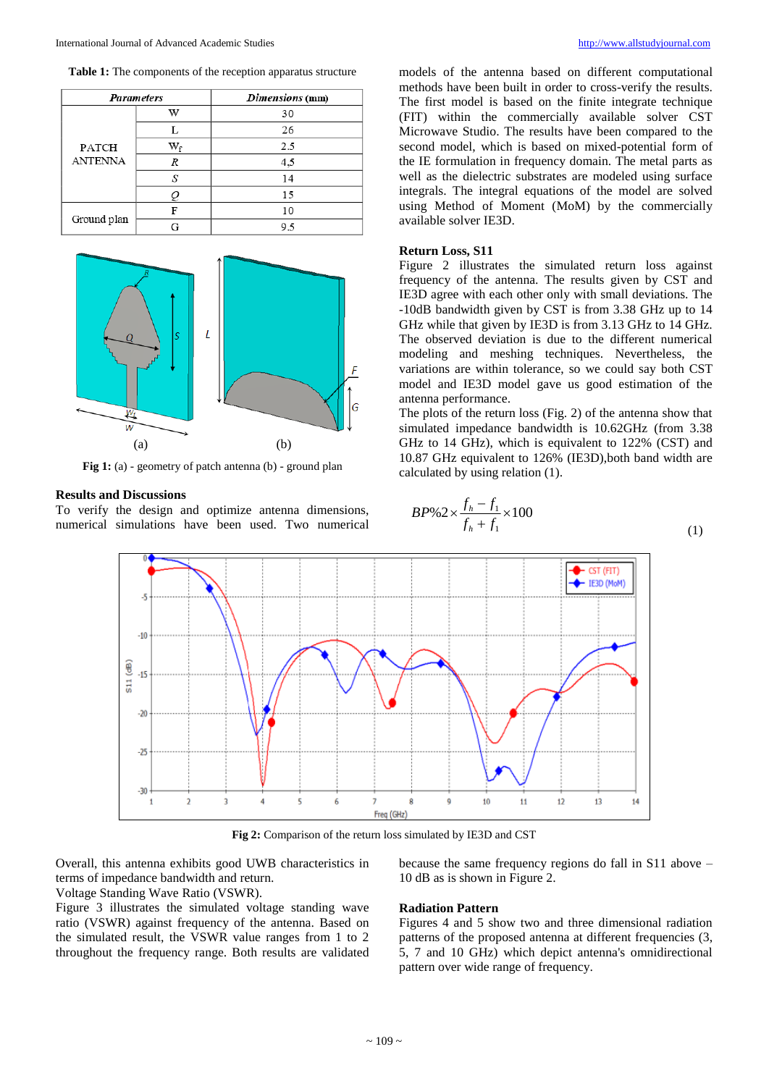**Table 1:** The components of the reception apparatus structure

| <b>Parameters</b>       |    | Dimensions (mm) |
|-------------------------|----|-----------------|
| PATCH<br><b>ANTENNA</b> | w  | 30              |
|                         |    | 26              |
|                         | Wғ | 2.5             |
|                         | R  | 4,5             |
|                         | S  | 14              |
|                         | Q  | 15              |
| Ground plan             | F  | 10              |
|                         | G  | 9.5             |



**Fig 1:** (a) - geometry of patch antenna (b) - ground plan

#### **Results and Discussions**

To verify the design and optimize antenna dimensions, numerical simulations have been used. Two numerical

models of the antenna based on different computational methods have been built in order to cross-verify the results. The first model is based on the finite integrate technique (FIT) within the commercially available solver CST Microwave Studio. The results have been compared to the second model, which is based on mixed-potential form of the IE formulation in frequency domain. The metal parts as well as the dielectric substrates are modeled using surface integrals. The integral equations of the model are solved using Method of Moment (MoM) by the commercially available solver IE3D.

# **Return Loss, S11**

Figure 2 illustrates the simulated return loss against frequency of the antenna. The results given by CST and IE3D agree with each other only with small deviations. The -10dB bandwidth given by CST is from 3.38 GHz up to 14 GHz while that given by IE3D is from 3.13 GHz to 14 GHz. The observed deviation is due to the different numerical modeling and meshing techniques. Nevertheless, the variations are within tolerance, so we could say both CST model and IE3D model gave us good estimation of the antenna performance.

The plots of the return loss (Fig. 2) of the antenna show that simulated impedance bandwidth is 10.62GHz (from 3.38 GHz to 14 GHz), which is equivalent to 122% (CST) and 10.87 GHz equivalent to 126% (IE3D),both band width are calculated by using relation (1).

$$
BP\%2 \times \frac{f_h - f_1}{f_h + f_1} \times 100
$$
\n(1)



**Fig 2:** Comparison of the return loss simulated by IE3D and CST

Overall, this antenna exhibits good UWB characteristics in terms of impedance bandwidth and return.

Voltage Standing Wave Ratio (VSWR).

Figure 3 illustrates the simulated voltage standing wave ratio (VSWR) against frequency of the antenna. Based on the simulated result, the VSWR value ranges from 1 to 2 throughout the frequency range. Both results are validated because the same frequency regions do fall in S11 above – 10 dB as is shown in Figure 2.

#### **Radiation Pattern**

Figures 4 and 5 show two and three dimensional radiation patterns of the proposed antenna at different frequencies (3, 5, 7 and 10 GHz) which depict antenna's omnidirectional pattern over wide range of frequency.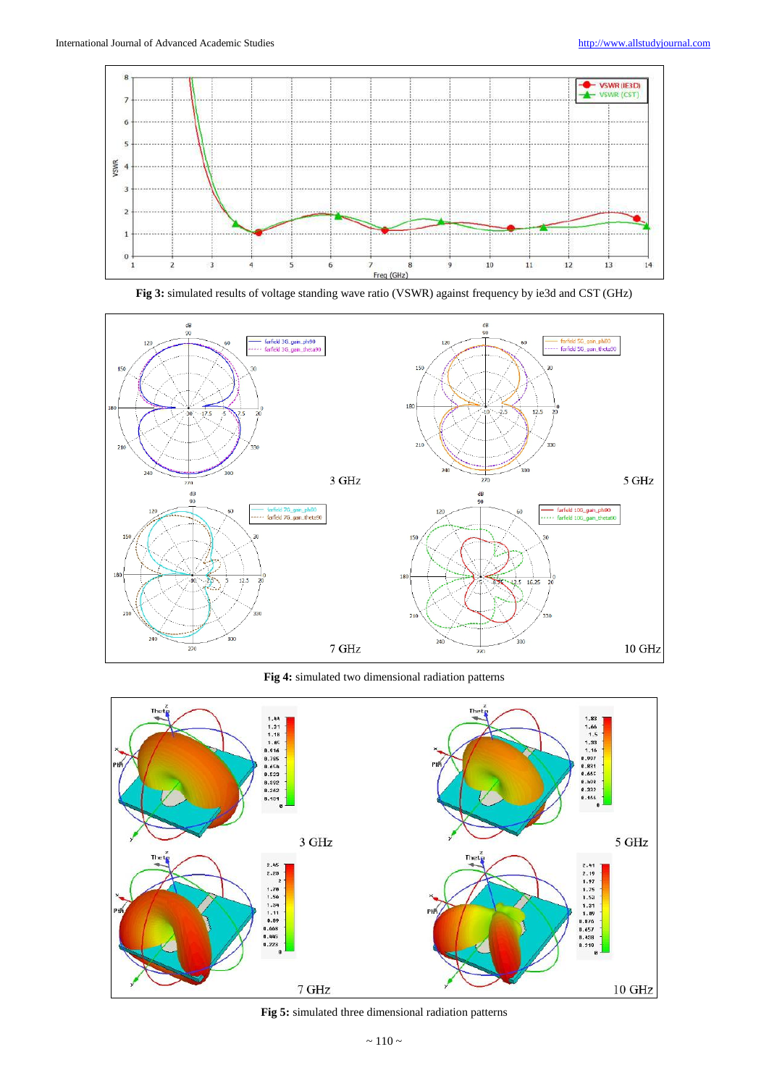



**Fig 3:** simulated results of voltage standing wave ratio (VSWR) against frequency by ie3d and CST (GHz)

**Fig 4:** simulated two dimensional radiation patterns



**Fig 5:** simulated three dimensional radiation patterns